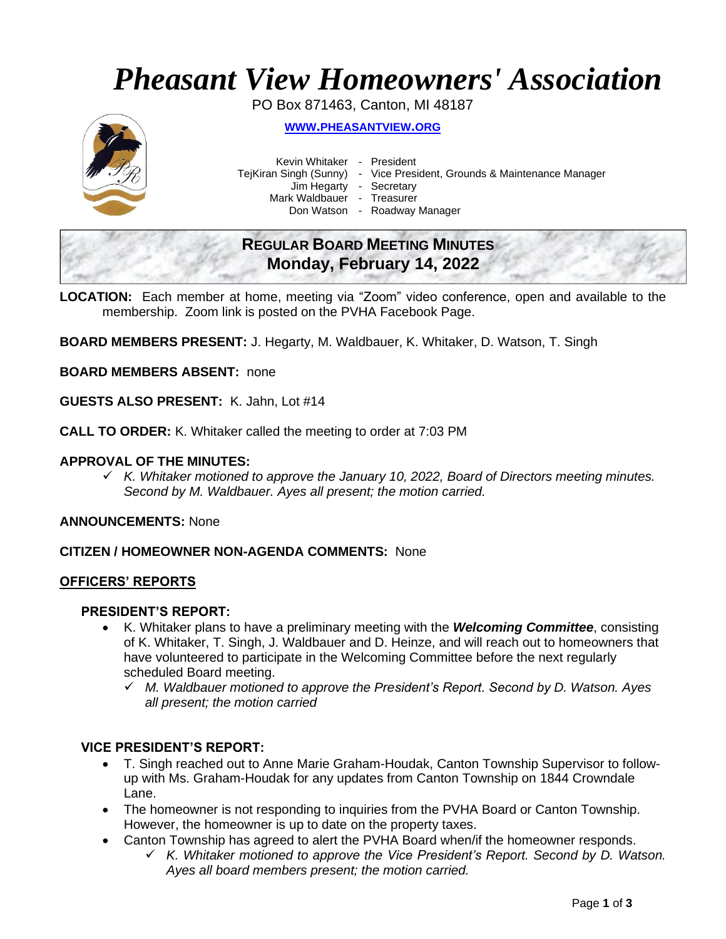# *Pheasant View Homeowners' Association*

PO Box 871463, Canton, MI 48187



**WWW.[PHEASANTVIEW](http://www.pheasantview.org/).ORG**

Kevin Whitaker - President

- TejKiran Singh (Sunny) Vice President, Grounds & Maintenance Manager
	-

Jim Hegarty - Secretary Mark Waldbauer - Treasurer

Don Watson - Roadway Manager

# **REGULAR BOARD MEETING MINUTES Monday, February 14, 2022**

**LOCATION:** Each member at home, meeting via "Zoom" video conference, open and available to the membership. Zoom link is posted on the PVHA Facebook Page.

**BOARD MEMBERS PRESENT:** J. Hegarty, M. Waldbauer, K. Whitaker, D. Watson, T. Singh

**BOARD MEMBERS ABSENT:** none

**GUESTS ALSO PRESENT:** K. Jahn, Lot #14

**CALL TO ORDER:** K. Whitaker called the meeting to order at 7:03 PM

# **APPROVAL OF THE MINUTES:**

✓ *K. Whitaker motioned to approve the January 10, 2022, Board of Directors meeting minutes. Second by M. Waldbauer. Ayes all present; the motion carried.*

**ANNOUNCEMENTS:** None

# **CITIZEN / HOMEOWNER NON-AGENDA COMMENTS:** None

#### **OFFICERS' REPORTS**

#### **PRESIDENT'S REPORT:**

- K. Whitaker plans to have a preliminary meeting with the *Welcoming Committee*, consisting of K. Whitaker, T. Singh, J. Waldbauer and D. Heinze, and will reach out to homeowners that have volunteered to participate in the Welcoming Committee before the next regularly scheduled Board meeting.
	- ✓ *M. Waldbauer motioned to approve the President's Report. Second by D. Watson. Ayes all present; the motion carried*

# **VICE PRESIDENT'S REPORT:**

- T. Singh reached out to Anne Marie Graham-Houdak, Canton Township Supervisor to followup with Ms. Graham-Houdak for any updates from Canton Township on 1844 Crowndale Lane.
- The homeowner is not responding to inquiries from the PVHA Board or Canton Township. However, the homeowner is up to date on the property taxes.
- Canton Township has agreed to alert the PVHA Board when/if the homeowner responds.
	- ✓ *K. Whitaker motioned to approve the Vice President's Report. Second by D. Watson. Ayes all board members present; the motion carried.*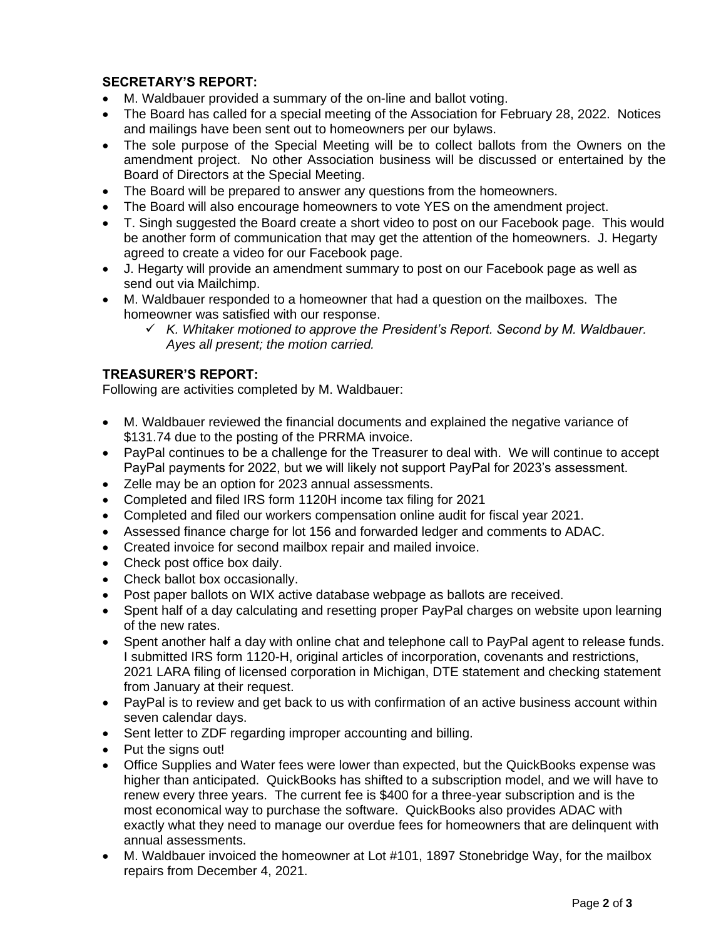# **SECRETARY'S REPORT:**

- M. Waldbauer provided a summary of the on-line and ballot voting.
- The Board has called for a special meeting of the Association for February 28, 2022. Notices and mailings have been sent out to homeowners per our bylaws.
- The sole purpose of the Special Meeting will be to collect ballots from the Owners on the amendment project. No other Association business will be discussed or entertained by the Board of Directors at the Special Meeting.
- The Board will be prepared to answer any questions from the homeowners.
- The Board will also encourage homeowners to vote YES on the amendment project.
- T. Singh suggested the Board create a short video to post on our Facebook page. This would be another form of communication that may get the attention of the homeowners. J. Hegarty agreed to create a video for our Facebook page.
- J. Hegarty will provide an amendment summary to post on our Facebook page as well as send out via Mailchimp.
- M. Waldbauer responded to a homeowner that had a question on the mailboxes. The homeowner was satisfied with our response.
	- ✓ *K. Whitaker motioned to approve the President's Report. Second by M. Waldbauer. Ayes all present; the motion carried.*

# **TREASURER'S REPORT:**

Following are activities completed by M. Waldbauer:

- M. Waldbauer reviewed the financial documents and explained the negative variance of \$131.74 due to the posting of the PRRMA invoice.
- PayPal continues to be a challenge for the Treasurer to deal with. We will continue to accept PayPal payments for 2022, but we will likely not support PayPal for 2023's assessment.
- Zelle may be an option for 2023 annual assessments.
- Completed and filed IRS form 1120H income tax filing for 2021
- Completed and filed our workers compensation online audit for fiscal year 2021.
- Assessed finance charge for lot 156 and forwarded ledger and comments to ADAC.
- Created invoice for second mailbox repair and mailed invoice.
- Check post office box daily.
- Check ballot box occasionally.
- Post paper ballots on WIX active database webpage as ballots are received.
- Spent half of a day calculating and resetting proper PayPal charges on website upon learning of the new rates.
- Spent another half a day with online chat and telephone call to PayPal agent to release funds. I submitted IRS form 1120-H, original articles of incorporation, covenants and restrictions, 2021 LARA filing of licensed corporation in Michigan, DTE statement and checking statement from January at their request.
- PayPal is to review and get back to us with confirmation of an active business account within seven calendar days.
- Sent letter to ZDF regarding improper accounting and billing.
- Put the signs out!
- Office Supplies and Water fees were lower than expected, but the QuickBooks expense was higher than anticipated. QuickBooks has shifted to a subscription model, and we will have to renew every three years. The current fee is \$400 for a three-year subscription and is the most economical way to purchase the software. QuickBooks also provides ADAC with exactly what they need to manage our overdue fees for homeowners that are delinquent with annual assessments.
- M. Waldbauer invoiced the homeowner at Lot #101, 1897 Stonebridge Way, for the mailbox repairs from December 4, 2021.